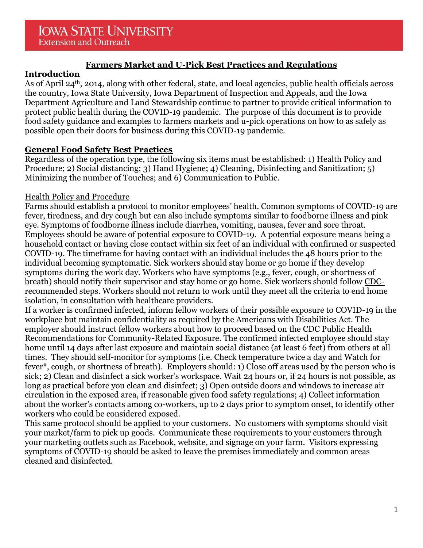# **Farmers Market and U-Pick Best Practices and Regulations**

# **Introduction**

As of April 24th, 2014, along with other federal, state, and local agencies, public health officials across the country, Iowa State University, Iowa Department of Inspection and Appeals, and the Iowa Department Agriculture and Land Stewardship continue to partner to provide critical information to protect public health during the COVID-19 pandemic. The purpose of this document is to provide food safety guidance and examples to farmers markets and u-pick operations on how to as safely as possible open their doors for business during this COVID-19 pandemic.

# **General Food Safety Best Practices**

Regardless of the operation type, the following six items must be established: 1) Health Policy and Procedure; 2) Social distancing; 3) Hand Hygiene; 4) Cleaning, Disinfecting and Sanitization; 5) Minimizing the number of Touches; and 6) Communication to Public.

# Health Policy and Procedure

Farms should establish a protocol to monitor employees' health. Common symptoms of COVID-19 are fever, tiredness, and dry cough but can also include symptoms similar to foodborne illness and pink eye. Symptoms of foodborne illness include diarrhea, vomiting, nausea, fever and sore throat. Employees should be aware of potential exposure to COVID-19. A potential exposure means being a household contact or having close contact within six feet of an individual with confirmed or suspected COVID-19. The timeframe for having contact with an individual includes the 48 hours prior to the individual becoming symptomatic. Sick workers should stay home or go home if they develop symptoms during the work day. Workers who have symptoms (e.g., fever, cough, or shortness of breath) should notify their supervisor and stay home or go home. Sick workers should follow [CDC](https://www.cdc.gov/coronavirus/2019-ncov/if-you-are-sick/steps-when-sick.html)[recommended steps.](https://www.cdc.gov/coronavirus/2019-ncov/if-you-are-sick/steps-when-sick.html) Workers should not return to work until they meet all the criteria to end home isolation, in consultation with healthcare providers.

If a worker is confirmed infected, inform fellow workers of their possible exposure to COVID-19 in the workplace but maintain confidentiality as required by the Americans with Disabilities Act. The employer should instruct fellow workers about how to proceed based on the CDC Public Health Recommendations for Community-Related Exposure. The confirmed infected employee should stay home until 14 days after last exposure and maintain social distance (at least 6 feet) from others at all times. They should self-monitor for symptoms (i.e. Check temperature twice a day and Watch for fever\*, cough, or shortness of breath). Employers should: 1) Close off areas used by the person who is sick; 2) Clean and disinfect a sick worker's workspace. Wait 24 hours or, if 24 hours is not possible, as long as practical before you clean and disinfect; 3) Open outside doors and windows to increase air circulation in the exposed area, if reasonable given food safety regulations; 4) Collect information about the worker's contacts among co-workers, up to 2 days prior to symptom onset, to identify other workers who could be considered exposed.

This same protocol should be applied to your customers. No customers with symptoms should visit your market/farm to pick up goods. Communicate these requirements to your customers through your marketing outlets such as Facebook, website, and signage on your farm. Visitors expressing symptoms of COVID-19 should be asked to leave the premises immediately and common areas cleaned and disinfected.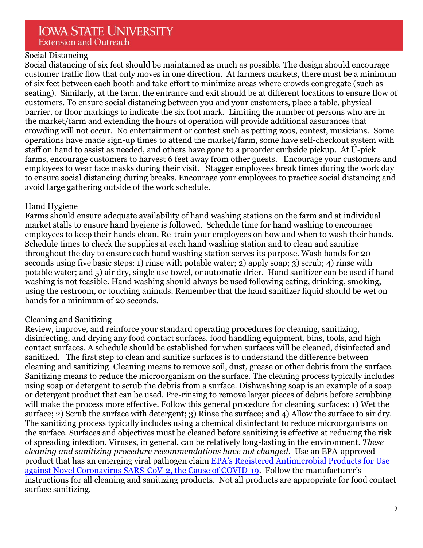# **IOWA STATE UNIVERSITY Extension and Outreach**

#### Social Distancing

Social distancing of six feet should be maintained as much as possible. The design should encourage customer traffic flow that only moves in one direction. At farmers markets, there must be a minimum of six feet between each booth and take effort to minimize areas where crowds congregate (such as seating). Similarly, at the farm, the entrance and exit should be at different locations to ensure flow of customers. To ensure social distancing between you and your customers, place a table, physical barrier, or floor markings to indicate the six foot mark. Limiting the number of persons who are in the market/farm and extending the hours of operation will provide additional assurances that crowding will not occur. No entertainment or contest such as petting zoos, contest, musicians. Some operations have made sign-up times to attend the market/farm, some have self-checkout system with staff on hand to assist as needed, and others have gone to a preorder curbside pickup. At U-pick farms, encourage customers to harvest 6 feet away from other guests. Encourage your customers and employees to wear face masks during their visit. Stagger employees break times during the work day to ensure social distancing during breaks. Encourage your employees to practice social distancing and avoid large gathering outside of the work schedule.

#### Hand Hygiene

Farms should ensure adequate availability of hand washing stations on the farm and at individual market stalls to ensure hand hygiene is followed. Schedule time for hand washing to encourage employees to keep their hands clean. Re-train your employees on how and when to wash their hands. Schedule times to check the supplies at each hand washing station and to clean and sanitize throughout the day to ensure each hand washing station serves its purpose. Wash hands for 20 seconds using five basic steps: 1) rinse with potable water; 2) apply soap; 3) scrub; 4) rinse with potable water; and 5) air dry, single use towel, or automatic drier. Hand sanitizer can be used if hand washing is not feasible. Hand washing should always be used following eating, drinking, smoking, using the restroom, or touching animals. Remember that the hand sanitizer liquid should be wet on hands for a minimum of 20 seconds.

#### Cleaning and Sanitizing

Review, improve, and reinforce your standard operating procedures for cleaning, sanitizing, disinfecting, and drying any food contact surfaces, food handling equipment, bins, tools, and high contact surfaces. A schedule should be established for when surfaces will be cleaned, disinfected and sanitized. The first step to clean and sanitize surfaces is to understand the difference between cleaning and sanitizing. Cleaning means to remove soil, dust, grease or other debris from the surface. Sanitizing means to reduce the microorganism on the surface. The cleaning process typically includes using soap or detergent to scrub the debris from a surface. Dishwashing soap is an example of a soap or detergent product that can be used. Pre-rinsing to remove larger pieces of debris before scrubbing will make the process more effective. Follow this general procedure for cleaning surfaces: 1) Wet the surface; 2) Scrub the surface with detergent; 3) Rinse the surface; and 4) Allow the surface to air dry. The sanitizing process typically includes using a chemical disinfectant to reduce microorganisms on the surface. Surfaces and objectives must be cleaned before sanitizing is effective at reducing the risk of spreading infection. Viruses, in general, can be relatively long-lasting in the environment. *These cleaning and sanitizing procedure recommendations have not changed.* Use an EPA-approved product that has an emerging viral pathogen claim [EPA's Registered Antimicrobial Products for Use](https://www.americanchemistry.com/Novel-Coronavirus-Fighting-Products-List.pdf))  against [Novel Coronavirus SARS-CoV-2, the Cause of COVID-19.](https://www.americanchemistry.com/Novel-Coronavirus-Fighting-Products-List.pdf)) Follow the manufacturer's instructions for all cleaning and sanitizing products. Not all products are appropriate for food contact surface sanitizing.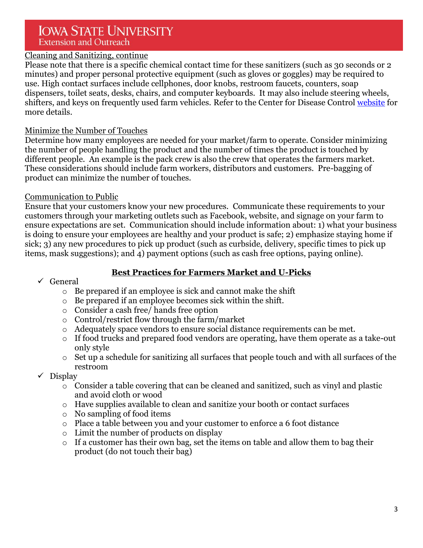# **IOWA STATE UNIVERSITY Extension and Outreach**

# Cleaning and Sanitizing, continue

Please note that there is a specific chemical contact time for these sanitizers (such as 30 seconds or 2 minutes) and proper personal protective equipment (such as gloves or goggles) may be required to use. High contact surfaces include cellphones, door knobs, restroom faucets, counters, soap dispensers, toilet seats, desks, chairs, and computer keyboards. It may also include steering wheels, shifters, and keys on frequently used farm vehicles. Refer to the Center for Disease Control [website](https://www.cdc.gov/flu/school/cleaning.htm) for more details.

#### Minimize the Number of Touches

Determine how many employees are needed for your market/farm to operate. Consider minimizing the number of people handling the product and the number of times the product is touched by different people. An example is the pack crew is also the crew that operates the farmers market. These considerations should include farm workers, distributors and customers. Pre-bagging of product can minimize the number of touches.

#### Communication to Public

Ensure that your customers know your new procedures. Communicate these requirements to your customers through your marketing outlets such as Facebook, website, and signage on your farm to ensure expectations are set. Communication should include information about: 1) what your business is doing to ensure your employees are healthy and your product is safe; 2) emphasize staying home if sick; 3) any new procedures to pick up product (such as curbside, delivery, specific times to pick up items, mask suggestions); and 4) payment options (such as cash free options, paying online).

# **Best Practices for Farmers Market and U-Picks**

#### $\checkmark$  General

- o Be prepared if an employee is sick and cannot make the shift
- o Be prepared if an employee becomes sick within the shift.
- o Consider a cash free/ hands free option
- o Control/restrict flow through the farm/market
- o Adequately space vendors to ensure social distance requirements can be met.
- o If food trucks and prepared food vendors are operating, have them operate as a take-out only style
- o Set up a schedule for sanitizing all surfaces that people touch and with all surfaces of the restroom
- $\checkmark$  Display
	- o Consider a table covering that can be cleaned and sanitized, such as vinyl and plastic and avoid cloth or wood
	- o Have supplies available to clean and sanitize your booth or contact surfaces
	- o No sampling of food items
	- o Place a table between you and your customer to enforce a 6 foot distance
	- o Limit the number of products on display
	- o If a customer has their own bag, set the items on table and allow them to bag their product (do not touch their bag)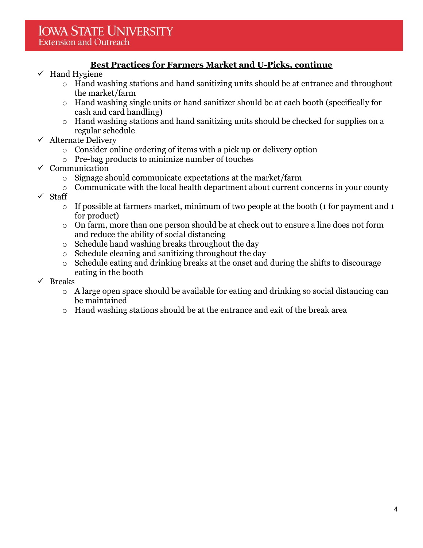# **Best Practices for Farmers Market and U-Picks, continue**

- $\checkmark$  Hand Hygiene
	- o Hand washing stations and hand sanitizing units should be at entrance and throughout the market/farm
	- o Hand washing single units or hand sanitizer should be at each booth (specifically for cash and card handling)
	- o Hand washing stations and hand sanitizing units should be checked for supplies on a regular schedule
- $\checkmark$  Alternate Delivery
	- o Consider online ordering of items with a pick up or delivery option
	- o Pre-bag products to minimize number of touches
- $\checkmark$  Communication
	- o Signage should communicate expectations at the market/farm
	- $\circ$  Communicate with the local health department about current concerns in your county
- $\checkmark$  Staff
	- o If possible at farmers market, minimum of two people at the booth (1 for payment and 1 for product)
	- o On farm, more than one person should be at check out to ensure a line does not form and reduce the ability of social distancing
	- o Schedule hand washing breaks throughout the day
	- o Schedule cleaning and sanitizing throughout the day
	- o Schedule eating and drinking breaks at the onset and during the shifts to discourage eating in the booth
- $\checkmark$  Breaks
	- o A large open space should be available for eating and drinking so social distancing can be maintained
	- o Hand washing stations should be at the entrance and exit of the break area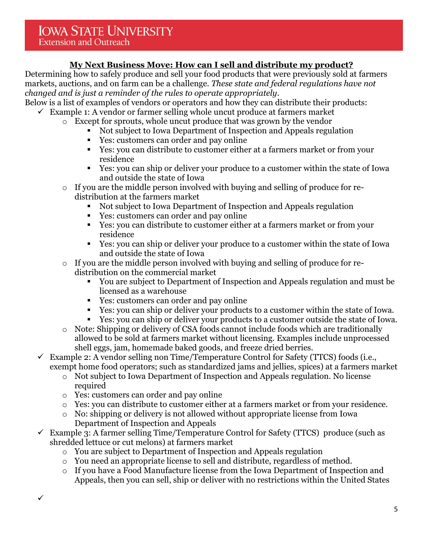# **My Next Business Move: How can I sell and distribute my product?**

Determining how to safely produce and sell your food products that were previously sold at farmers markets, auctions, and on farm can be a challenge. *These state and federal regulations have not changed and is just a reminder of the rules to operate appropriately*.

Below is a list of examples of vendors or operators and how they can distribute their products:  $\checkmark$  Example 1: A vendor or farmer selling whole uncut produce at farmers market

- o Except for sprouts, whole uncut produce that was grown by the vendor
	- Not subject to Iowa Department of Inspection and Appeals regulation
	- Yes: customers can order and pay online
	- Yes: you can distribute to customer either at a farmers market or from your residence
	- Yes: you can ship or deliver your produce to a customer within the state of Iowa and outside the state of Iowa
- o If you are the middle person involved with buying and selling of produce for redistribution at the farmers market
	- Not subject to Iowa Department of Inspection and Appeals regulation
	- Yes: customers can order and pay online
	- Yes: you can distribute to customer either at a farmers market or from your residence
	- Yes: you can ship or deliver your produce to a customer within the state of Iowa and outside the state of Iowa
- o If you are the middle person involved with buying and selling of produce for redistribution on the commercial market
	- You are subject to Department of Inspection and Appeals regulation and must be licensed as a warehouse
	- Yes: customers can order and pay online
	- Yes: you can ship or deliver your products to a customer within the state of Iowa.
	- Yes: you can ship or deliver your products to a customer outside the state of Iowa.
- o Note: Shipping or delivery of CSA foods cannot include foods which are traditionally allowed to be sold at farmers market without licensing. Examples include unprocessed shell eggs, jam, homemade baked goods, and freeze dried berries.
- Example 2: A vendor selling non Time/Temperature Control for Safety (TTCS) foods (i.e., exempt home food operators; such as standardized jams and jellies, spices) at a farmers market
	- o Not subject to Iowa Department of Inspection and Appeals regulation. No license required
	- o Yes: customers can order and pay online
	- o Yes: you can distribute to customer either at a farmers market or from your residence.
	- o No: shipping or delivery is not allowed without appropriate license from Iowa Department of Inspection and Appeals
- $\checkmark$  Example 3: A farmer selling Time/Temperature Control for Safety (TTCS) produce (such as shredded lettuce or cut melons) at farmers market
	- o You are subject to Department of Inspection and Appeals regulation
	- o You need an appropriate license to sell and distribute, regardless of method.
	- o If you have a Food Manufacture license from the Iowa Department of Inspection and Appeals, then you can sell, ship or deliver with no restrictions within the United States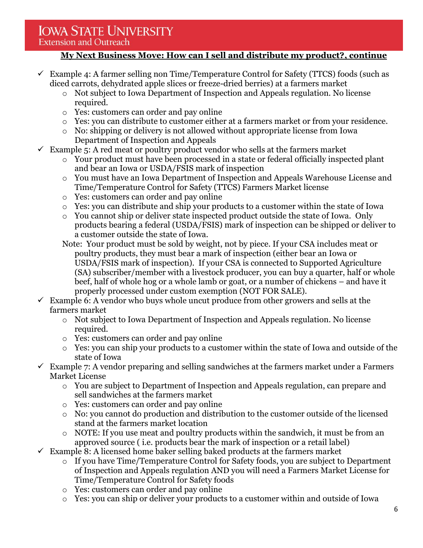# **IOWA STATE UNIVERSITY**

#### **Extension and Outreach**

# **My Next Business Move: How can I sell and distribute my product?, continue**

- $\checkmark$  Example 4: A farmer selling non Time/Temperature Control for Safety (TTCS) foods (such as diced carrots, dehydrated apple slices or freeze-dried berries) at a farmers market
	- o Not subject to Iowa Department of Inspection and Appeals regulation. No license required.
	- o Yes: customers can order and pay online
	- o Yes: you can distribute to customer either at a farmers market or from your residence.
	- o No: shipping or delivery is not allowed without appropriate license from Iowa Department of Inspection and Appeals
- $\checkmark$  Example 5: A red meat or poultry product vendor who sells at the farmers market
	- o Your product must have been processed in a state or federal officially inspected plant and bear an Iowa or USDA/FSIS mark of inspection
	- o You must have an Iowa Department of Inspection and Appeals Warehouse License and Time/Temperature Control for Safety (TTCS) Farmers Market license
	- o Yes: customers can order and pay online
	- o Yes: you can distribute and ship your products to a customer within the state of Iowa
	- o You cannot ship or deliver state inspected product outside the state of Iowa. Only products bearing a federal (USDA/FSIS) mark of inspection can be shipped or deliver to a customer outside the state of Iowa.
	- Note: Your product must be sold by weight, not by piece. If your CSA includes meat or poultry products, they must bear a mark of inspection (either bear an Iowa or USDA/FSIS mark of inspection). If your CSA is connected to Supported Agriculture (SA) subscriber/member with a livestock producer, you can buy a quarter, half or whole beef, half of whole hog or a whole lamb or goat, or a number of chickens – and have it properly processed under custom exemption (NOT FOR SALE).
- $\checkmark$  Example 6: A vendor who buys whole uncut produce from other growers and sells at the farmers market
	- o Not subject to Iowa Department of Inspection and Appeals regulation. No license required.
	- o Yes: customers can order and pay online
	- o Yes: you can ship your products to a customer within the state of Iowa and outside of the state of Iowa
- $\checkmark$  Example 7: A vendor preparing and selling sandwiches at the farmers market under a Farmers Market License
	- o You are subject to Department of Inspection and Appeals regulation, can prepare and sell sandwiches at the farmers market
	- o Yes: customers can order and pay online
	- o No: you cannot do production and distribution to the customer outside of the licensed stand at the farmers market location
	- $\circ$  NOTE: If you use meat and poultry products within the sandwich, it must be from an approved source ( i.e. products bear the mark of inspection or a retail label)
- $\checkmark$  Example 8: A licensed home baker selling baked products at the farmers market
	- o If you have Time/Temperature Control for Safety foods, you are subject to Department of Inspection and Appeals regulation AND you will need a Farmers Market License for Time/Temperature Control for Safety foods
	- o Yes: customers can order and pay online
	- o Yes: you can ship or deliver your products to a customer within and outside of Iowa